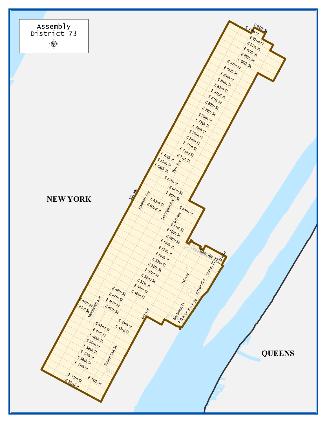